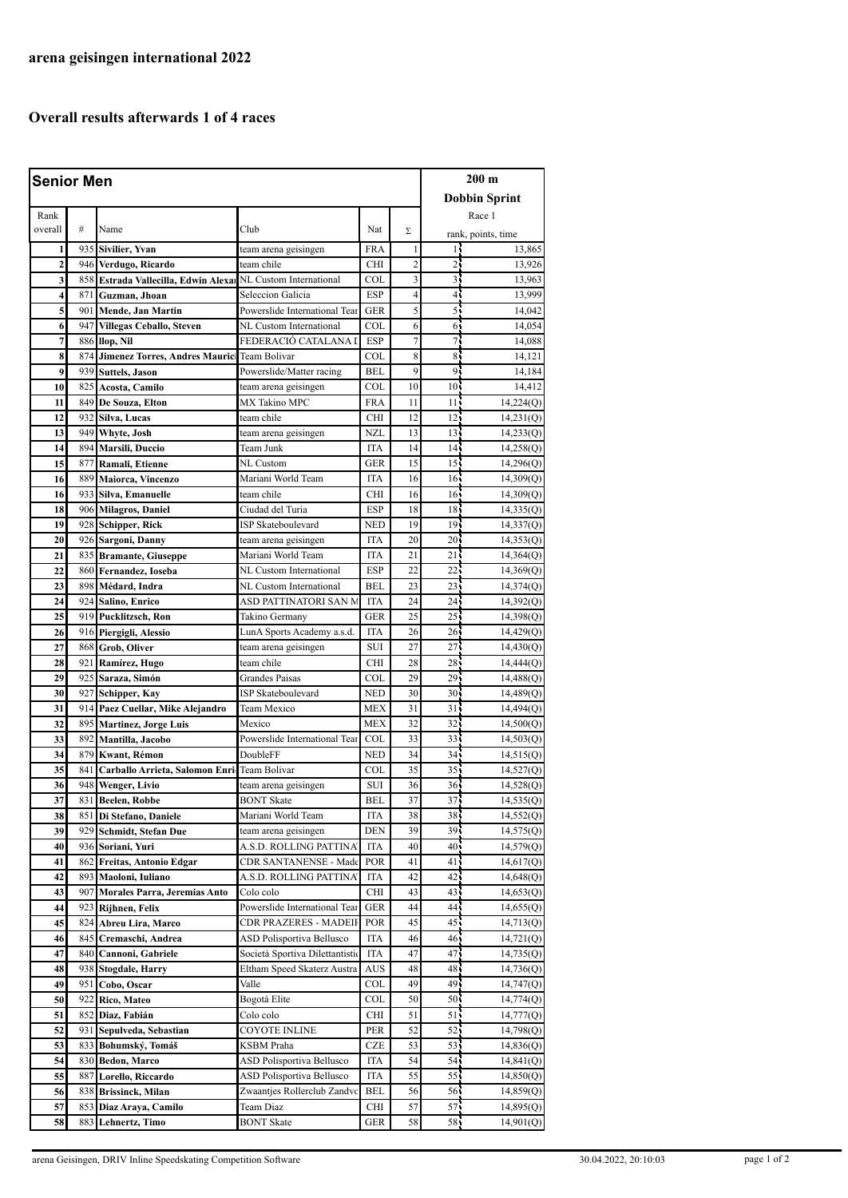## **Overall results afterwards 1 of 4 races**

| <b>Senior Men</b> |      | $200 \text{ m}$                                             |                                 |            |                         |                 |                      |
|-------------------|------|-------------------------------------------------------------|---------------------------------|------------|-------------------------|-----------------|----------------------|
|                   |      |                                                             |                                 |            |                         |                 |                      |
|                   |      |                                                             |                                 |            |                         |                 | <b>Dobbin Sprint</b> |
| Rank              |      |                                                             |                                 |            |                         |                 | Race 1               |
| overall           | #    | Name                                                        | Club                            | Nat        | Σ                       |                 | rank, points, time   |
| 1                 |      | 935 Sivilier, Yvan                                          | team arena geisingen            | <b>FRA</b> | 1                       | 14              | 13,865               |
| $\overline{2}$    |      | 946 Verdugo, Ricardo                                        | team chile                      | <b>CHI</b> | $\overline{c}$          | 2 <sub>1</sub>  | 13,926               |
| 3                 |      | 858 Estrada Vallecilla, Edwin Alexa NL Custom International |                                 | COL        | $\overline{\mathbf{3}}$ | 31              | 13,963               |
| 4                 | 8711 | Guzman, Jhoan                                               | Seleccion Galicia               | <b>ESP</b> | 4                       | $\overline{4}$  | 13,999               |
| 5                 |      | 901 Mende, Jan Martin                                       | Powerslide International Tear   | <b>GER</b> | 5                       | 55              | 14,042               |
| 6                 |      | 947 Villegas Ceballo, Steven                                | NL Custom International         | COL        | 6                       | 6               | 14,054               |
| 7                 |      | 886 Ilop, Nil                                               | FEDERACIÓ CATALANA I            | <b>ESP</b> | $\overline{7}$          | 71              | 14,088               |
| 8                 | 874  | Jimenez Torres, Andres Mauric Team Bolivar                  |                                 | COL        | 8                       | 85              | 14,121               |
| 9                 |      | 939 Suttels, Jason                                          | Powerslide/Matter racing        | <b>BEL</b> | 9                       | 91              | 14,184               |
| 10                |      | 825 Acosta, Camilo                                          | team arena geisingen            | COL        | 10                      | 10 <sub>1</sub> | 14,412               |
| 11                |      | 849 De Souza, Elton                                         | <b>MX Takino MPC</b>            | FRA        | 11                      | 11,             | 14,224(Q)            |
| 12                |      | 932 Silva, Lucas                                            | team chile                      | <b>CHI</b> | 12                      | 12 <sub>1</sub> | 14,231(Q)            |
| 13                | 949  | Whyte, Josh                                                 | team arena geisingen            | <b>NZL</b> | 13                      | 13 <sub>1</sub> | 14,233(Q)            |
| 14                |      | 894   Marsili, Duccio                                       | Team Junk                       | <b>ITA</b> | 14                      | 14 <sub>1</sub> | 14,258(Q)            |
| 15                | 877  | Ramali, Etienne                                             | NL Custom                       | <b>GER</b> | 15                      | 15 <sub>1</sub> | 14,296(Q)            |
| 16                |      | 889 Maiorca, Vincenzo                                       | Mariani World Team              | <b>ITA</b> | 16                      | 16 <sup>1</sup> | 14,309(Q)            |
| 16                |      | 933 Silva, Emanuelle                                        | team chile                      | <b>CHI</b> | 16                      | 16 <sup>1</sup> | 14,309(Q)            |
| 18                |      | 906 Milagros, Daniel                                        | Ciudad del Turia                | ESP        | 18                      | 18 <sub>1</sub> | 14,335(Q)            |
| 19                |      | 928 Schipper, Rick                                          | <b>ISP Skateboulevard</b>       | <b>NED</b> | 19                      | 19 <sup>1</sup> | 14,337(Q)            |
| 20                |      | 926 Sargoni, Danny                                          | team arena geisingen            | <b>ITA</b> | 20                      | $20 -$          | 14,353(Q)            |
| 21                |      | 835 Bramante, Giuseppe                                      | Mariani World Team              | <b>ITA</b> | 21                      | 21              | 14,364(Q)            |
| 22                |      | 860 Fernandez, Ioseba                                       | NL Custom International         | <b>ESP</b> | 22                      | $22 -$          | 14,369(Q)            |
| 23                | 898  | Médard, Indra                                               | NL Custom International         | BEL        | 23                      | $23 -$          | 14,374(Q)            |
| 24                |      | 924 Salino, Enrico                                          | ASD PATTINATORI SAN M           | <b>ITA</b> | 24                      | 24 <sub>1</sub> | 14,392(Q)            |
| 25                |      | 919 Pucklitzsch, Ron                                        | Takino Germany                  | <b>GER</b> | 25                      | 25 <sup>1</sup> | 14,398(Q)            |
| 26                |      | 916 Piergigli, Alessio                                      | LunA Sports Academy a.s.d.      | <b>ITA</b> | 26                      | 26 <sub>1</sub> | 14,429(Q)            |
| 27                |      | 868 Grob, Oliver                                            | team arena geisingen            | <b>SUI</b> | 27                      | $27^{\circ}$    | 14,430(Q)            |
| 28                | 921  | Ramírez, Hugo                                               | team chile                      | <b>CHI</b> | 28                      | 28              | 14,444(Q)            |
| 29                |      | 925 Saraza, Simón                                           | Grandes Paisas                  | COL        | 29                      | 29.             | 14,488(Q)            |
| 30                |      | 927 Schipper, Kay                                           | <b>ISP Skateboulevard</b>       | <b>NED</b> | 30                      | 30 <sub>1</sub> | 14,489(Q)            |
| 31                | 914  | Paez Cuellar, Mike Alejandro                                | Team Mexico                     | <b>MEX</b> | 31                      | 31              | 14,494(Q)            |
| 32                |      | 895 Martinez, Jorge Luis                                    | Mexico                          | <b>MEX</b> | 32                      | $32 -$          | 14,500(Q)            |
| 33                | 892  | Mantilla, Jacobo                                            | Powerslide International Tear   | <b>COL</b> | 33                      | 33 <sup>1</sup> | 14,503(Q)            |
| 34                | 879  | <b>Kwant</b> , Rémon                                        | DoubleFF                        | <b>NED</b> | 34                      | 34 <sub>1</sub> | 14,515(Q)            |
| 35                | 841  | Carballo Arrieta, Salomon Enri Team Bolivar                 |                                 | COL        | 35                      | 35 <sup>1</sup> | 14,527(Q)            |
| 36                |      | 948 Wenger, Livio                                           | team arena geisingen            | SUI        | 36                      | 36 <sup>1</sup> | 14,528(Q)            |
| 37                | 831  | <b>Beelen, Robbe</b>                                        | <b>BONT Skate</b>               | <b>BEL</b> | 37                      | 37.             | 14,535(0)            |
| 38                |      | 851 Di Stefano, Daniele                                     | Mariani World Team              | ITA        | 38                      | 38.             | 14,552(Q)            |
| 39                | 929  | Schmidt, Stefan Due                                         | team arena geisingen            | DEN        | 39                      | 39.             | 14,575(Q)            |
| 40                |      | 936 Soriani, Yuri                                           | A.S.D. ROLLING PATTINA'         | <b>ITA</b> | 40                      | 40 <sup>1</sup> | 14,579(Q)            |
| 41                |      | 862 Freitas, Antonio Edgar                                  | CDR SANTANENSE - Made           | POR        | 41                      | 41 <sub>1</sub> | 14,617(Q)            |
| 42                | 893  | Maoloni, Iuliano                                            | A.S.D. ROLLING PATTINA'         | <b>ITA</b> | 42                      | 42.             | 14,648(Q)            |
| 43                | 907  | Morales Parra, Jeremias Anto                                | Colo colo                       | CHI        | 43                      | 43              | 14,653(Q)            |
| 44                |      | 923 Rijhnen, Felix                                          | Powerslide International Tear   | GER        | 44                      | 44              | 14,655(Q)            |
| 45                | 824  | Abreu Lira, Marco                                           | CDR PRAZERES - MADEIF           | POR        | 45                      | 45              | 14,713(Q)            |
| 46                |      | 845   Cremaschi, Andrea                                     | ASD Polisportiva Bellusco       | <b>ITA</b> | 46                      | 46.             | 14,721(Q)            |
| 47                | 840  | Cannoni, Gabriele                                           | Società Sportiva Dilettantistic | <b>ITA</b> | 47                      | 47.             | 14,735(Q)            |
| 48                |      | 938 Stogdale, Harry                                         | Eltham Speed Skaterz Austra     | AUS        | 48                      | 48,             | 14,736(Q)            |
| 49                | 951  | Cobo, Oscar                                                 | Valle                           | COL        | 49                      | 49              | 14,747(Q)            |
| 50                |      | 922 Rico, Mateo                                             | Bogotá Elite                    | COL        | 50                      | 50.             | 14,774(Q)            |
| 51                |      | 852 Diaz, Fabián                                            | Colo colo                       | CHI        | 51                      | 51,             | 14,777(Q)            |
| 52                |      | 931 Sepulveda, Sebastian                                    | COYOTE INLINE                   | PER        | 52                      | 52 <sub>1</sub> | 14,798(Q)            |
| 53                | 833  | Bohumský, Tomáš                                             | KSBM Praha                      | CZE        | 53                      | 53.             | 14,836(Q)            |
| 54                | 830  | <b>Bedon, Marco</b>                                         | ASD Polisportiva Bellusco       | ITA        | 54                      | 54,             | 14,841(Q)            |
| 55                | 887  | Lorello, Riccardo                                           | ASD Polisportiva Bellusco       | ITA        | 55                      | 55              | 14,850(Q)            |
| 56                | 838  | <b>Brissinck, Milan</b>                                     | Zwaantjes Rollerclub Zandvo     | BEL        | 56                      | 565             | 14,859(Q)            |
| 57                | 853  | Diaz Araya, Camilo                                          | Team Diaz                       | CHI        | 57                      | 57.             | 14,895(Q)            |
| 58                | 8831 | Lehnertz, Timo                                              | <b>BONT Skate</b>               | GER        | 58                      | 58.             | 14,901(Q)            |